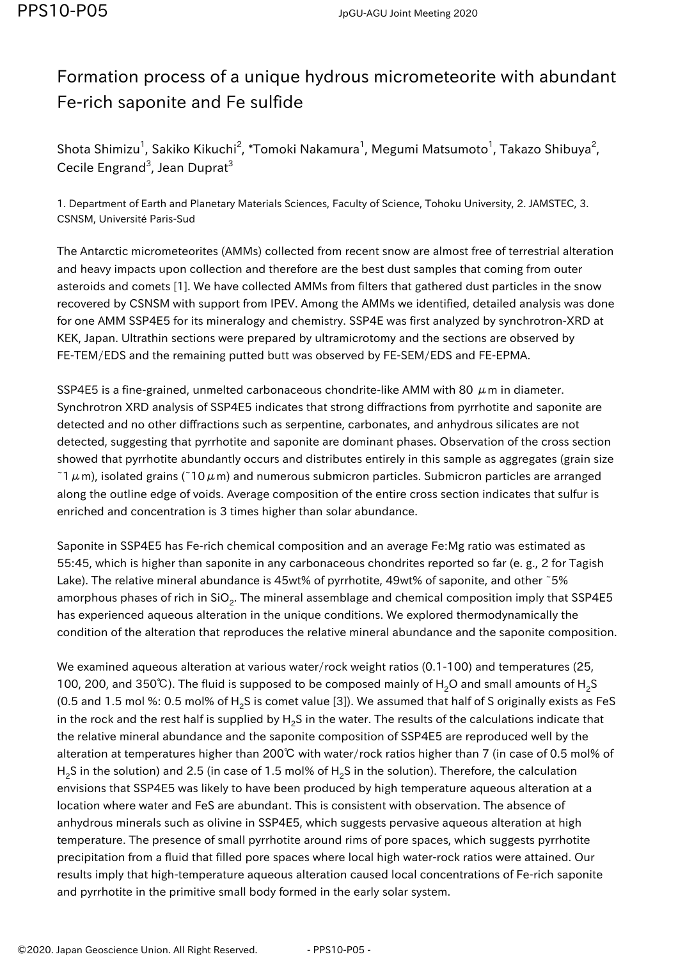## Formation process of a unique hydrous micrometeorite with abundant Fe-rich saponite and Fe sulfide

Shota Shimizu<sup>1</sup>, Sakiko Kikuchi<sup>2</sup>, \*Tomoki Nakamura<sup>1</sup>, Megumi Matsumoto<sup>1</sup>, Takazo Shibuya<sup>2</sup>, Cecile Engrand<sup>3</sup>, Jean Duprat<sup>3</sup>

1. Department of Earth and Planetary Materials Sciences, Faculty of Science, Tohoku University, 2. JAMSTEC, 3. CSNSM, Université Paris-Sud

The Antarctic micrometeorites (AMMs) collected from recent snow are almost free of terrestrial alteration and heavy impacts upon collection and therefore are the best dust samples that coming from outer asteroids and comets [1]. We have collected AMMs from filters that gathered dust particles in the snow recovered by CSNSM with support from IPEV. Among the AMMs we identified, detailed analysis was done for one AMM SSP4E5 for its mineralogy and chemistry. SSP4E was first analyzed by synchrotron-XRD at KEK, Japan. Ultrathin sections were prepared by ultramicrotomy and the sections are observed by FE-TEM/EDS and the remaining putted butt was observed by FE-SEM/EDS and FE-EPMA.

SSP4E5 is a fine-grained, unmelted carbonaceous chondrite-like AMM with 80  $\mu$ m in diameter. Synchrotron XRD analysis of SSP4E5 indicates that strong diffractions from pyrrhotite and saponite are detected and no other diffractions such as serpentine, carbonates, and anhydrous silicates are not detected, suggesting that pyrrhotite and saponite are dominant phases. Observation of the cross section showed that pyrrhotite abundantly occurs and distributes entirely in this sample as aggregates (grain size  $1\mu$ m), isolated grains (~10 $\mu$ m) and numerous submicron particles. Submicron particles are arranged along the outline edge of voids. Average composition of the entire cross section indicates that sulfur is enriched and concentration is 3 times higher than solar abundance.

Saponite in SSP4E5 has Fe-rich chemical composition and an average Fe:Mg ratio was estimated as 55:45, which is higher than saponite in any carbonaceous chondrites reported so far (e. g., 2 for Tagish Lake). The relative mineral abundance is 45wt% of pyrrhotite, 49wt% of saponite, and other ~5% amorphous phases of rich in SiO<sub>2</sub>. The mineral assemblage and chemical composition imply that SSP4E5 has experienced aqueous alteration in the unique conditions. We explored thermodynamically the condition of the alteration that reproduces the relative mineral abundance and the saponite composition.

We examined aqueous alteration at various water/rock weight ratios (0.1-100) and temperatures (25, 100, 200, and 350℃). The fluid is supposed to be composed mainly of H<sub>2</sub>O and small amounts of H<sub>2</sub>S (0.5 and 1.5 mol %: 0.5 mol% of H<sub>2</sub>S is comet value [3]). We assumed that half of S originally exists as FeS in the rock and the rest half is supplied by H<sub>2</sub>S in the water. The results of the calculations indicate that the relative mineral abundance and the saponite composition of SSP4E5 are reproduced well by the alteration at temperatures higher than 200℃ with water/rock ratios higher than 7 (in case of 0.5 mol% of H<sub>2</sub>S in the solution) and 2.5 (in case of 1.5 mol% of H<sub>2</sub>S in the solution). Therefore, the calculation envisions that SSP4E5 was likely to have been produced by high temperature aqueous alteration at a location where water and FeS are abundant. This is consistent with observation. The absence of anhydrous minerals such as olivine in SSP4E5, which suggests pervasive aqueous alteration at high temperature. The presence of small pyrrhotite around rims of pore spaces, which suggests pyrrhotite precipitation from a fluid that filled pore spaces where local high water-rock ratios were attained. Our results imply that high-temperature aqueous alteration caused local concentrations of Fe-rich saponite and pyrrhotite in the primitive small body formed in the early solar system.